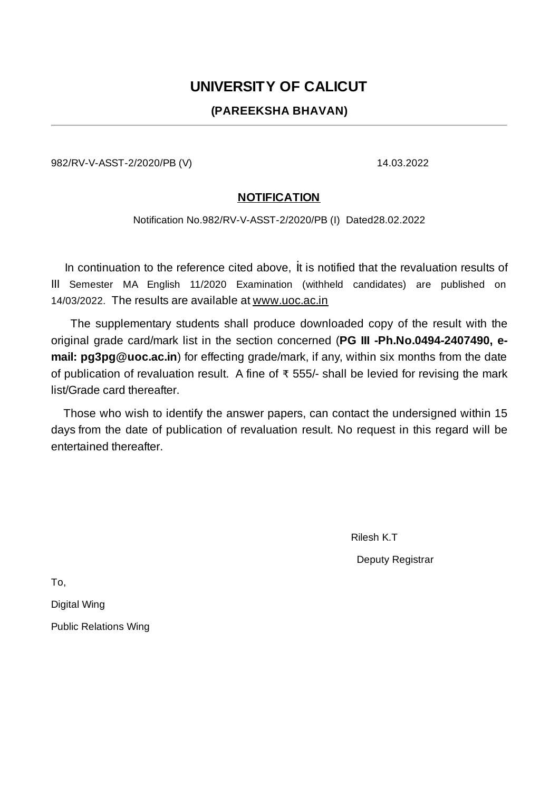## **UNIVERSITY OF CALICUT**

## **(PAREEKSHA BHAVAN)**

982/RV-V-ASST-2/2020/PB (V) 14.03.2022

## **NOTIFICATION**

Notification No.982/RV-V-ASST-2/2020/PB (I) Dated28.02.2022

In continuation to the reference cited above, it is notified that the revaluation results of III Semester MA English 11/2020 Examination (withheld candidates) are published on 14/03/2022. The results are available at www.uoc.ac.in

The supplementary students shall produce downloaded copy of the result with the original grade card/mark list in the section concerned (**PG III -Ph.No.0494-2407490, email: pg3pg@uoc.ac.in**) for effecting grade/mark, if any, within six months from the date of publication of revaluation result. A fine of ₹ 555/- shall be levied for revising the mark list/Grade card thereafter.

Those who wish to identify the answer papers, can contact the undersigned within 15 days from the date of publication of revaluation result. No request in this regard will be entertained thereafter.

Rilesh K.T

Deputy Registrar

To,

Digital Wing

Public Relations Wing